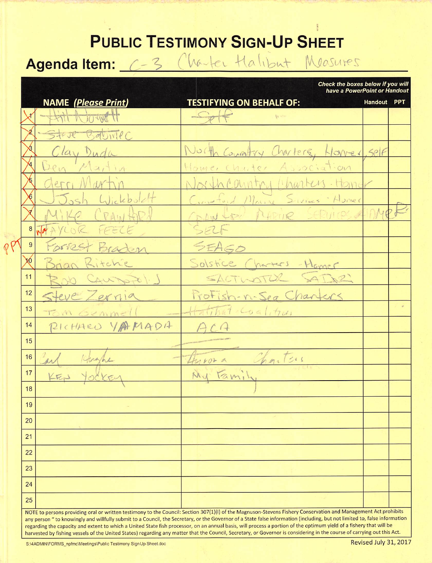## **PUBLIC TESTIMONY SIGN-UP SHEET**

## Agendaltem: C-3 Charles Halibut Measures

Check the boxes below if you will

|                | <b>NAME</b> ( <i>Please Print</i> ) | lave a FowerFollit of Handou<br><b>TESTIFYING ON BEHALF OF:</b>                                                                                                                                                                                                                                                                                                                                                                                                                                                              | Handout PPT |  |
|----------------|-------------------------------------|------------------------------------------------------------------------------------------------------------------------------------------------------------------------------------------------------------------------------------------------------------------------------------------------------------------------------------------------------------------------------------------------------------------------------------------------------------------------------------------------------------------------------|-------------|--|
|                | Hill Rowell                         | $S_{p+1}$                                                                                                                                                                                                                                                                                                                                                                                                                                                                                                                    |             |  |
|                | Store Babille                       |                                                                                                                                                                                                                                                                                                                                                                                                                                                                                                                              |             |  |
|                | Clay Duda                           | North Committy Charlers, Homer, self                                                                                                                                                                                                                                                                                                                                                                                                                                                                                         |             |  |
|                | Den Martin                          | Home, Charter Association                                                                                                                                                                                                                                                                                                                                                                                                                                                                                                    |             |  |
|                | derri Martin                        | North Country Charles. Home                                                                                                                                                                                                                                                                                                                                                                                                                                                                                                  |             |  |
|                | Josh Wickbulch                      | Constant Maine Sivies Homer                                                                                                                                                                                                                                                                                                                                                                                                                                                                                                  |             |  |
|                | Mike CRAWTOR                        | COLW for MARIOR SERVICES A DMPF                                                                                                                                                                                                                                                                                                                                                                                                                                                                                              |             |  |
|                | 8 NATYLOR FEELE                     | SELF                                                                                                                                                                                                                                                                                                                                                                                                                                                                                                                         |             |  |
| $\overline{9}$ | Forrest Braden                      | SEAGO                                                                                                                                                                                                                                                                                                                                                                                                                                                                                                                        |             |  |
| $\chi$         | Brian Ritchie                       | Solstice Charters - Homer                                                                                                                                                                                                                                                                                                                                                                                                                                                                                                    |             |  |
| 11             | Rob CAUSTONS                        | SACTIVOTER SADAR                                                                                                                                                                                                                                                                                                                                                                                                                                                                                                             |             |  |
| 12             | Steve Zernia                        | ProFish-n-Sea Chankers                                                                                                                                                                                                                                                                                                                                                                                                                                                                                                       |             |  |
| 13             | Tom Genmell                         | $H$ -titiat coalition                                                                                                                                                                                                                                                                                                                                                                                                                                                                                                        |             |  |
| 14             | PICHARD YAMADA                      |                                                                                                                                                                                                                                                                                                                                                                                                                                                                                                                              |             |  |
| 15             |                                     |                                                                                                                                                                                                                                                                                                                                                                                                                                                                                                                              |             |  |
| 16             | art<br>Khranhe                      | throwa Charters.                                                                                                                                                                                                                                                                                                                                                                                                                                                                                                             |             |  |
| 17             | $K_{Fp}$ 10                         | My Family                                                                                                                                                                                                                                                                                                                                                                                                                                                                                                                    |             |  |
| 18             |                                     |                                                                                                                                                                                                                                                                                                                                                                                                                                                                                                                              |             |  |
| 19             |                                     |                                                                                                                                                                                                                                                                                                                                                                                                                                                                                                                              |             |  |
| 20             |                                     |                                                                                                                                                                                                                                                                                                                                                                                                                                                                                                                              |             |  |
| 21             |                                     |                                                                                                                                                                                                                                                                                                                                                                                                                                                                                                                              |             |  |
| 22             |                                     |                                                                                                                                                                                                                                                                                                                                                                                                                                                                                                                              |             |  |
| 23             |                                     |                                                                                                                                                                                                                                                                                                                                                                                                                                                                                                                              |             |  |
| 24             |                                     |                                                                                                                                                                                                                                                                                                                                                                                                                                                                                                                              |             |  |
| 25             |                                     | NOTE to persons providing oral or written testimony to the Council: Section 307(1)(I) of the Magnuson-Stevens Fishery Conservation and Management Act prohibits                                                                                                                                                                                                                                                                                                                                                              |             |  |
|                |                                     | any person " to knowingly and willfully submit to a Council, the Secretary, or the Governor of a State false information (including, but not limited to, false information<br>regarding the capacity and extent to which a United State fish processor, on an annual basis, will process a portion of the optimum yield of a fishery that will be<br>harvested by fishing vessels of the United States) regarding any matter that the Council, Secretary, or Governor is considering in the course of carrying out this Act. |             |  |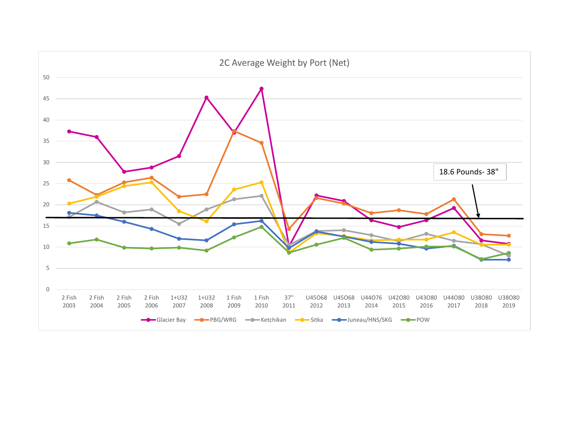